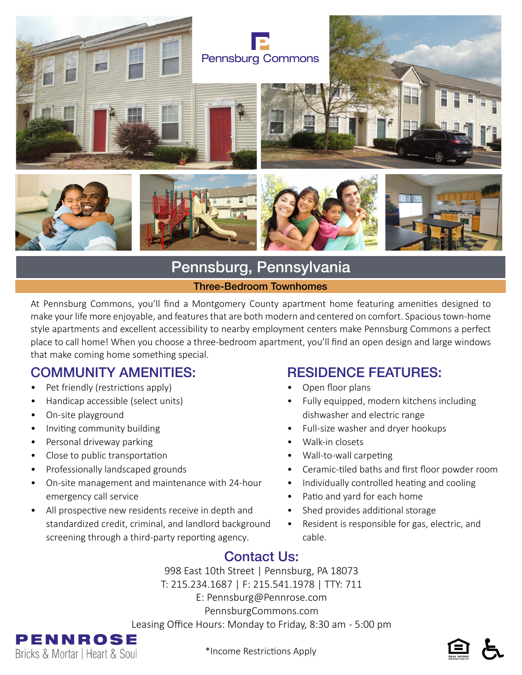

# Pennsburg, Pennsylvania

#### Three-Bedroom Townhomes

At Pennsburg Commons, you'll find a Montgomery County apartment home featuring amenities designed to make your life more enjoyable, and features that are both modern and centered on comfort. Spacious town-home style apartments and excellent accessibility to nearby employment centers make Pennsburg Commons a perfect place to call home! When you choose a three-bedroom apartment, you'll find an open design and large windows that make coming home something special.

### COMMUNITY AMENITIES:

- Pet friendly (restrictions apply)
- Handicap accessible (select units)
- On-site playground
- Inviting community building
- Personal driveway parking
- Close to public transportation
- Professionally landscaped grounds
- On-site management and maintenance with 24-hour emergency call service
- All prospective new residents receive in depth and standardized credit, criminal, and landlord background screening through a third-party reporting agency.

### RESIDENCE FEATURES:

- Open floor plans
- Fully equipped, modern kitchens including dishwasher and electric range
- Full-size washer and dryer hookups
- Walk-in closets
- Wall-to-wall carpeting
- Ceramic-tiled baths and first floor powder room
- Individually controlled heating and cooling
- Patio and yard for each home
- Shed provides additional storage
- Resident is responsible for gas, electric, and cable.

# Contact Us:

998 East 10th Street | Pennsburg, PA 18073 T: 215.234.1687 | F: 215.541.1978 | TTY: 711 E: Pennsburg@Pennrose.com PennsburgCommons.com Leasing Office Hours: Monday to Friday, 8:30 am - 5:00 pm



\*Income Restrictions Apply